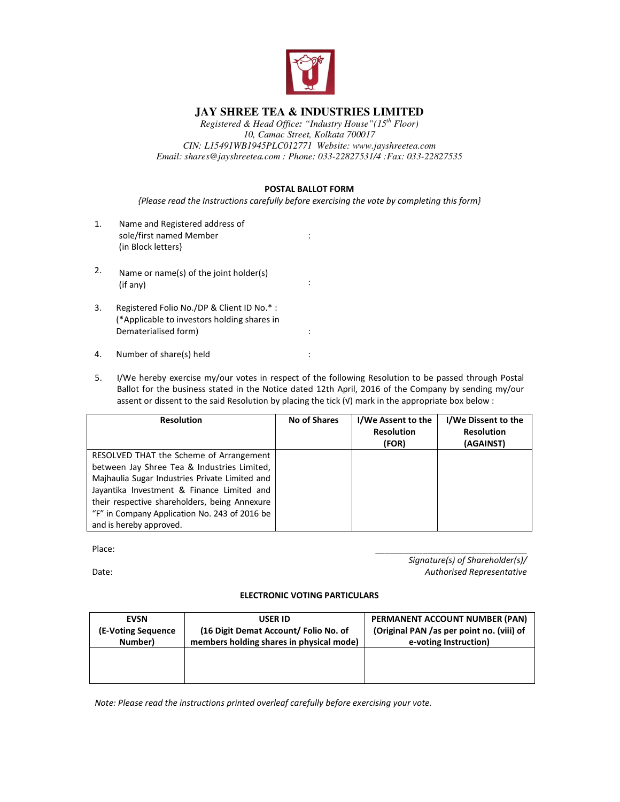

## **JAY SHREE TEA & INDUSTRIES LIMITED**

*Registered & Head Office: "Industry House"(15th Floor) 10, Camac Street, Kolkata 700017 CIN: L15491WB1945PLC012771 Website: www.jayshreetea.com Email: shares@jayshreetea.com : Phone: 033-22827531/4 :Fax: 033-22827535*

## **POSTAL BALLOT FORM**

*{Please read the Instructions carefully before exercising the vote by completing this form}* 

:

- 1. Name and Registered address of sole/first named Member (in Block letters}
- 2. Name or name(s) of the joint holder(s)  $(if \text{ any})$  :
- 3. Registered Folio No./DP & Client ID No.\* : (\*Applicable to investors holding shares in Dematerialised form) in the set of the set of the set of the set of the set of the set of the set of the set of the set of the set of the set of the set of the set of the set of the set of the set of the set of the set of
- 4. Number of share(s) held :
- 5. I/We hereby exercise my/our votes in respect of the following Resolution to be passed through Postal Ballot for the business stated in the Notice dated 12th April, 2016 of the Company by sending my/our assent or dissent to the said Resolution by placing the tick (√) mark in the appropriate box below :

| <b>Resolution</b>                              | <b>No of Shares</b> | I/We Assent to the | I/We Dissent to the |
|------------------------------------------------|---------------------|--------------------|---------------------|
|                                                |                     | <b>Resolution</b>  | <b>Resolution</b>   |
|                                                |                     | (FOR)              | (AGAINST)           |
| RESOLVED THAT the Scheme of Arrangement        |                     |                    |                     |
| between Jay Shree Tea & Industries Limited,    |                     |                    |                     |
| Majhaulia Sugar Industries Private Limited and |                     |                    |                     |
| Jayantika Investment & Finance Limited and     |                     |                    |                     |
| their respective shareholders, being Annexure  |                     |                    |                     |
| "F" in Company Application No. 243 of 2016 be  |                     |                    |                     |
| and is hereby approved.                        |                     |                    |                     |

Place:

Date:

*Signature(s) of Shareholder(s)/ Authorised Representative*

\_\_\_\_\_\_\_\_\_\_\_\_\_\_\_\_\_\_\_\_\_\_\_\_\_\_\_\_\_\_\_\_

## **ELECTRONIC VOTING PARTICULARS**

| <b>EVSN</b><br>(E-Voting Sequence) | <b>USER ID</b><br>(16 Digit Demat Account/Folio No. of | PERMANENT ACCOUNT NUMBER (PAN)<br>(Original PAN /as per point no. (viii) of |
|------------------------------------|--------------------------------------------------------|-----------------------------------------------------------------------------|
| Number)                            | members holding shares in physical mode)               | e-voting Instruction)                                                       |
|                                    |                                                        |                                                                             |
|                                    |                                                        |                                                                             |
|                                    |                                                        |                                                                             |

*Note: Please read the instructions printed overleaf carefully before exercising your vote.*